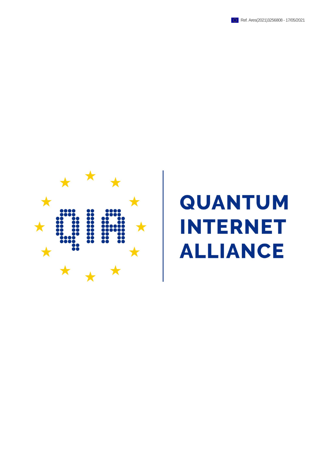



## **QUANTUM INTERNET LIANCE**  $\boldsymbol{\Delta}$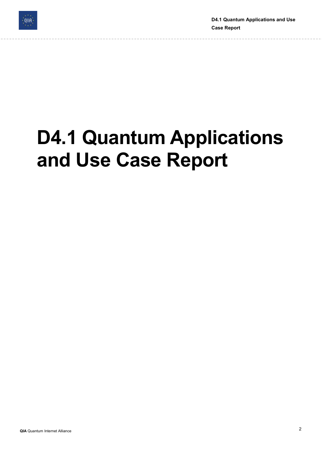

D4.1 Quantum Applications and Use Case Report

# D4.1 Quantum Applications and Use Case Report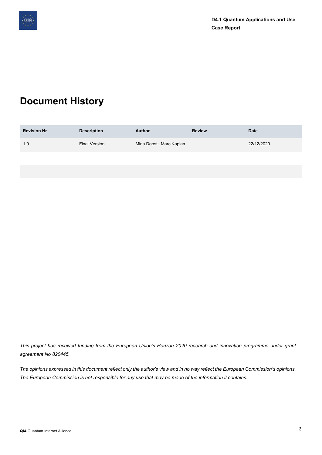

### Document History

| <b>Revision Nr</b> | <b>Description</b> | <b>Author</b>            | <b>Review</b> | <b>Date</b> |
|--------------------|--------------------|--------------------------|---------------|-------------|
| 1.0                | Final Version      | Mina Doosti, Marc Kaplan |               | 22/12/2020  |
|                    |                    |                          |               |             |

This project has received funding from the European Union's Horizon 2020 research and innovation programme under grant agreement No 820445.

The opinions expressed in this document reflect only the author's view and in no way reflect the European Commission's opinions. The European Commission is not responsible for any use that may be made of the information it contains.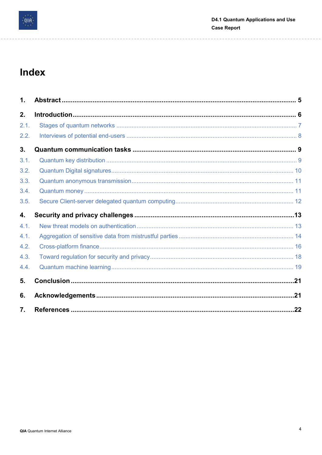

### Index

| $\mathbf{1}$ .   |  |
|------------------|--|
| 2.               |  |
| 2.1.             |  |
| 2.2.             |  |
| 3.               |  |
| 3.1.             |  |
| 3.2.             |  |
| 3.3.             |  |
| 3.4.             |  |
| 3.5.             |  |
| 4.               |  |
| 4.1.             |  |
| 4.1.             |  |
| 4.2.             |  |
| 4.3.             |  |
| 4.4.             |  |
| 5.               |  |
| 6.               |  |
| $\overline{7}$ . |  |

 $- - - - - -$ 

i.

---------

 $- - - - -$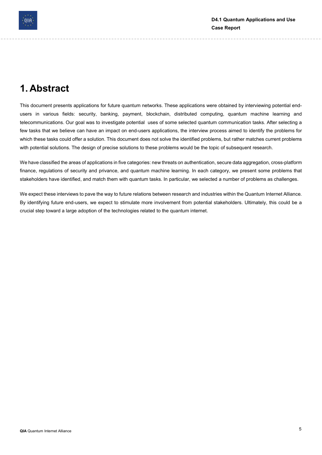

### 1. Abstract

This document presents applications for future quantum networks. These applications were obtained by interviewing potential endusers in various fields: security, banking, payment, blockchain, distributed computing, quantum machine learning and telecommunications. Our goal was to investigate potential uses of some selected quantum communication tasks. After selecting a few tasks that we believe can have an impact on end-users applications, the interview process aimed to identify the problems for which these tasks could offer a solution. This document does not solve the identified problems, but rather matches current problems with potential solutions. The design of precise solutions to these problems would be the topic of subsequent research.

We have classified the areas of applications in five categories: new threats on authentication, secure data aggregation, cross-platform finance, regulations of security and privance, and quantum machine learning. In each category, we present some problems that stakeholders have identified, and match them with quantum tasks. In particular, we selected a number of problems as challenges.

We expect these interviews to pave the way to future relations between research and industries within the Quantum Internet Alliance. By identifying future end-users, we expect to stimulate more involvement from potential stakeholders. Ultimately, this could be a crucial step toward a large adoption of the technologies related to the quantum internet.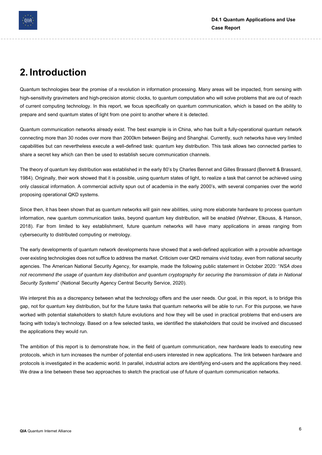

### 2. Introduction

Quantum technologies bear the promise of a revolution in information processing. Many areas will be impacted, from sensing with high-sensitivity gravimeters and high-precision atomic clocks, to quantum computation who will solve problems that are out of reach of current computing technology. In this report, we focus specifically on quantum communication, which is based on the ability to prepare and send quantum states of light from one point to another where it is detected.

Quantum communication networks already exist. The best example is in China, who has built a fully-operational quantum network connecting more than 30 nodes over more than 2000km between Beijing and Shanghai. Currently, such networks have very limited capabilities but can nevertheless execute a well-defined task: quantum key distribution. This task allows two connected parties to share a secret key which can then be used to establish secure communication channels.

The theory of quantum key distribution was established in the early 80's by Charles Bennet and Gilles Brassard (Bennett & Brassard, 1984). Originally, their work showed that it is possible, using quantum states of light, to realize a task that cannot be achieved using only classical information. A commercial activity spun out of academia in the early 2000's, with several companies over the world proposing operational QKD systems.

Since then, it has been shown that as quantum networks will gain new abilities, using more elaborate hardware to process quantum information, new quantum communication tasks, beyond quantum key distribution, will be enabled (Wehner, Elkouss, & Hanson, 2018). Far from limited to key establishment, future quantum networks will have many applications in areas ranging from cybersecurity to distributed computing or metrology.

The early developments of quantum network developments have showed that a well-defined application with a provable advantage over existing technologies does not suffice to address the market. Criticism over QKD remains vivid today, even from national security agencies. The American National Security Agency, for example, made the following public statement in October 2020: "NSA does not recommend the usage of quantum key distribution and quantum cryptography for securing the transmission of data in National Security Systems" (National Security Agency Central Security Service, 2020).

We interpret this as a discrepancy between what the technology offers and the user needs. Our goal, in this report, is to bridge this gap, not for quantum key distribution, but for the future tasks that quantum networks will be able to run. For this purpose, we have worked with potential stakeholders to sketch future evolutions and how they will be used in practical problems that end-users are facing with today's technology. Based on a few selected tasks, we identified the stakeholders that could be involved and discussed the applications they would run.

The ambition of this report is to demonstrate how, in the field of quantum communication, new hardware leads to executing new protocols, which in turn increases the number of potential end-users interested in new applications. The link between hardware and protocols is investigated in the academic world. In parallel, industrial actors are identifying end-users and the applications they need. We draw a line between these two approaches to sketch the practical use of future of quantum communication networks.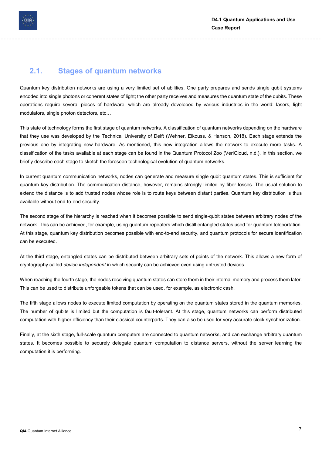

### 2.1. Stages of quantum networks

Quantum key distribution networks are using a very limited set of abilities. One party prepares and sends single qubit systems encoded into single photons or coherent states of light; the other party receives and measures the quantum state of the qubits. These operations require several pieces of hardware, which are already developed by various industries in the world: lasers, light modulators, single photon detectors, etc…

This state of technology forms the first stage of quantum networks. A classification of quantum networks depending on the hardware that they use was developed by the Technical University of Delft (Wehner, Elkouss, & Hanson, 2018). Each stage extends the previous one by integrating new hardware. As mentioned, this new integration allows the network to execute more tasks. A classification of the tasks available at each stage can be found in the Quantum Protocol Zoo (VeriQloud, n.d.). In this section, we briefly describe each stage to sketch the foreseen technological evolution of quantum networks.

In current quantum communication networks, nodes can generate and measure single qubit quantum states. This is sufficient for quantum key distribution. The communication distance, however, remains strongly limited by fiber losses. The usual solution to extend the distance is to add trusted nodes whose role is to route keys between distant parties. Quantum key distribution is thus available without end-to-end security.

The second stage of the hierarchy is reached when it becomes possible to send single-qubit states between arbitrary nodes of the network. This can be achieved, for example, using quantum repeaters which distill entangled states used for quantum teleportation. At this stage, quantum key distribution becomes possible with end-to-end security, and quantum protocols for secure identification can be executed.

At the third stage, entangled states can be distributed between arbitrary sets of points of the network. This allows a new form of cryptography called device independent in which security can be achieved even using untrusted devices.

When reaching the fourth stage, the nodes receiving quantum states can store them in their internal memory and process them later. This can be used to distribute unforgeable tokens that can be used, for example, as electronic cash.

The fifth stage allows nodes to execute limited computation by operating on the quantum states stored in the quantum memories. The number of qubits is limited but the computation is fault-tolerant. At this stage, quantum networks can perform distributed computation with higher efficiency than their classical counterparts. They can also be used for very accurate clock synchronization.

Finally, at the sixth stage, full-scale quantum computers are connected to quantum networks, and can exchange arbitrary quantum states. It becomes possible to securely delegate quantum computation to distance servers, without the server learning the computation it is performing.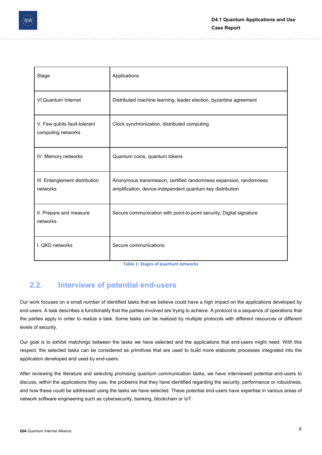

| Stage                                              | Applications                                                                                                                     |
|----------------------------------------------------|----------------------------------------------------------------------------------------------------------------------------------|
| VI.Quantum Internet                                | Distributed machine learning, leader election, byzantine agreement                                                               |
| V. Few qubits fault-tolerant<br>computing networks | Clock synchronization, distributed computing                                                                                     |
| IV. Memory networks                                | Quantum coins, quantum tokens                                                                                                    |
| III. Entanglement distribution<br>networks         | Anonymous transmission, certified randomness expansion, randomness<br>amplification, device-independent quantum key distribution |
| II. Prepare and measure<br>networks                | Secure communication with point-to-point security, Digital signature                                                             |
| I. QKD networks                                    | Secure communications                                                                                                            |

Table 1: Stages of quantum networks

### 2.2. Interviews of potential end-users

Our work focuses on a small number of identified tasks that we believe could have a high impact on the applications developed by end-users. A task describes a functionality that the parties involved are trying to achieve. A protocol is a sequence of operations that the parties apply in order to realize a task. Some tasks can be realized by multiple protocols with different resources or different levels of security.

Our goal is to exhibit matchings between the tasks we have selected and the applications that end-users might need. With this respect, the selected tasks can be considered as primitives that are used to build more elaborate processes integrated into the application developed and used by end-users.

After reviewing the literature and selecting promising quantum communication tasks, we have interviewed potential end-users to discuss, within the applications they use, the problems that they have identified regarding the security, performance or robustness, and how these could be addressed using the tasks we have selected. These potential end-users have expertise in various areas of network software engineering such as cybersecurity, banking, blockchain or IoT.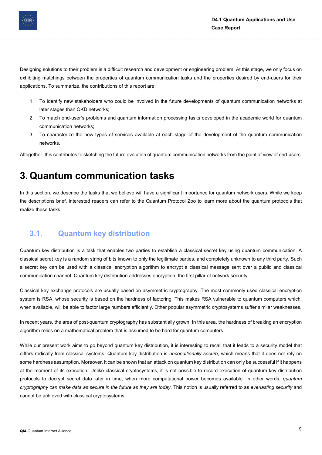

Designing solutions to their problem is a difficult research and development or engineering problem. At this stage, we only focus on exhibiting matchings between the properties of quantum communication tasks and the properties desired by end-users for their applications. To summarize, the contributions of this report are:

- 1. To identify new stakeholders who could be involved in the future developments of quantum communication networks at later stages than QKD networks;
- 2. To match end-user's problems and quantum information processing tasks developed in the academic world for quantum communication networks;
- 3. To characterize the new types of services available at each stage of the development of the quantum communication networks.

Altogether, this contributes to sketching the future evolution of quantum communication networks from the point of view of end-users.

### 3. Quantum communication tasks

In this section, we describe the tasks that we believe will have a significant importance for quantum network users. While we keep the descriptions brief, interested readers can refer to the Quantum Protocol Zoo to learn more about the quantum protocols that realize these tasks.

### 3.1. Quantum key distribution

Quantum key distribution is a task that enables two parties to establish a classical secret key using quantum communication. A classical secret key is a random string of bits known to only the legitimate parties, and completely unknown to any third party. Such a secret key can be used with a classical encryption algorithm to encrypt a classical message sent over a public and classical communication channel. Quantum key distribution addresses encryption, the first pillar of network security.

Classical key exchange protocols are usually based on asymmetric cryptography. The most commonly used classical encryption system is RSA, whose security is based on the hardness of factoring. This makes RSA vulnerable to quantum computers which, when available, will be able to factor large numbers efficiently. Other popular asymmetric cryptosystems suffer similar weaknesses.

In recent years, the area of post-quantum cryptography has substantially grown. In this area, the hardness of breaking an encryption algorithm relies on a mathematical problem that is assumed to be hard for quantum computers.

While our present work aims to go beyond quantum key distribution, it is interesting to recall that it leads to a security model that differs radically from classical systems. Quantum key distribution is *unconditionally secure*, which means that it does not rely on some hardness assumption. Moreover, it can be shown that an attack on quantum key distribution can only be successful if it happens at the moment of its execution. Unlike classical cryptosystems, it is not possible to record execution of quantum key distribution protocols to decrypt secret data later in time, when more computational power becomes available. In other words, quantum cryptography can make data as secure in the future as they are today. This notion is usually referred to as everlasting security and cannot be achieved with classical cryptosystems.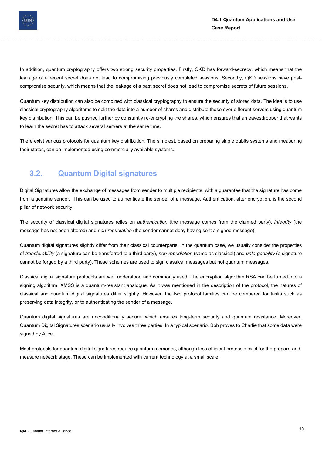

In addition, quantum cryptography offers two strong security properties. Firstly, QKD has forward-secrecy, which means that the leakage of a recent secret does not lead to compromising previously completed sessions. Secondly, QKD sessions have postcompromise security, which means that the leakage of a past secret does not lead to compromise secrets of future sessions.

Quantum key distribution can also be combined with classical cryptography to ensure the security of stored data. The idea is to use classical cryptography algorithms to split the data into a number of shares and distribute those over different servers using quantum key distribution. This can be pushed further by constantly re-encrypting the shares, which ensures that an eavesdropper that wants to learn the secret has to attack several servers at the same time.

There exist various protocols for quantum key distribution. The simplest, based on preparing single qubits systems and measuring their states, can be implemented using commercially available systems.

#### 3.2. Quantum Digital signatures

Digital Signatures allow the exchange of messages from sender to multiple recipients, with a guarantee that the signature has come from a genuine sender. This can be used to authenticate the sender of a message. Authentication, after encryption, is the second pillar of network security.

The security of classical digital signatures relies on authentication (the message comes from the claimed party), integrity (the message has not been altered) and non-repudiation (the sender cannot deny having sent a signed message).

Quantum digital signatures slightly differ from their classical counterparts. In the quantum case, we usually consider the properties of transferability (a signature can be transferred to a third party), non-repudiation (same as classical) and unforgeability (a signature cannot be forged by a third party). These schemes are used to sign classical messages but not quantum messages.

Classical digital signature protocols are well understood and commonly used. The encryption algorithm RSA can be turned into a signing algorithm. XMSS is a quantum-resistant analogue. As it was mentioned in the description of the protocol, the natures of classical and quantum digital signatures differ slightly. However, the two protocol families can be compared for tasks such as preserving data integrity, or to authenticating the sender of a message.

Quantum digital signatures are unconditionally secure, which ensures long-term security and quantum resistance. Moreover, Quantum Digital Signatures scenario usually involves three parties. In a typical scenario, Bob proves to Charlie that some data were signed by Alice.

Most protocols for quantum digital signatures require quantum memories, although less efficient protocols exist for the prepare-andmeasure network stage. These can be implemented with current technology at a small scale.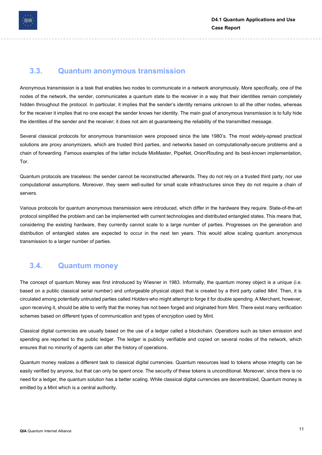

#### 3.3. Quantum anonymous transmission

Anonymous transmission is a task that enables two nodes to communicate in a network anonymously. More specifically, one of the nodes of the network, the sender, communicates a quantum state to the receiver in a way that their identities remain completely hidden throughout the protocol. In particular, it implies that the sender's identity remains unknown to all the other nodes, whereas for the receiver it implies that no one except the sender knows her identity. The main goal of anonymous transmission is to fully hide the identities of the sender and the receiver; it does not aim at guaranteeing the reliability of the transmitted message.

Several classical protocols for anonymous transmission were proposed since the late 1980's. The most widely-spread practical solutions are proxy anonymizers, which are trusted third parties, and networks based on computationally-secure problems and a chain of forwarding. Famous examples of the latter include MixMaster, PipeNet, OnionRouting and its best-known implementation, Tor.

Quantum protocols are traceless: the sender cannot be reconstructed afterwards. They do not rely on a trusted third party, nor use computational assumptions. Moreover, they seem well-suited for small scale infrastructures since they do not require a chain of servers.

Various protocols for quantum anonymous transmission were introduced, which differ in the hardware they require. State-of-the-art protocol simplified the problem and can be implemented with current technologies and distributed entangled states. This means that, considering the existing hardware, they currently cannot scale to a large number of parties. Progresses on the generation and distribution of entangled states are expected to occur in the next ten years. This would allow scaling quantum anonymous transmission to a larger number of parties.

### 3.4. Quantum money

The concept of quantum Money was first introduced by Wiesner in 1983. Informally, the quantum money object is a unique (i.e. based on a public classical serial number) and unforgeable physical object that is created by a third party called Mint. Then, it is circulated among potentially untrusted parties called Holders who might attempt to forge it for double spending. A Merchant, however, upon receiving it, should be able to verify that the money has not been forged and originated from Mint. There exist many verification schemes based on different types of communication and types of encryption used by Mint.

Classical digital currencies are usually based on the use of a ledger called a blockchain. Operations such as token emission and spending are reported to the public ledger. The ledger is publicly verifiable and copied on several nodes of the network, which ensures that no minority of agents can alter the history of operations.

Quantum money realizes a different task to classical digital currencies. Quantum resources lead to tokens whose integrity can be easily verified by anyone, but that can only be spent once. The security of these tokens is unconditional. Moreover, since there is no need for a ledger, the quantum solution has a better scaling. While classical digital currencies are decentralized, Quantum money is emitted by a Mint which is a central authority.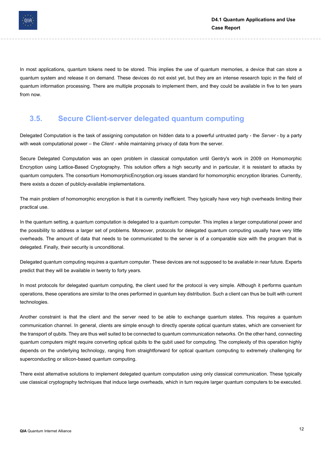

In most applications, quantum tokens need to be stored. This implies the use of quantum memories, a device that can store a quantum system and release it on demand. These devices do not exist yet, but they are an intense research topic in the field of quantum information processing. There are multiple proposals to implement them, and they could be available in five to ten years from now.

#### 3.5. Secure Client-server delegated quantum computing

Delegated Computation is the task of assigning computation on hidden data to a powerful untrusted party - the Server - by a party with weak computational power – the Client - while maintaining privacy of data from the server.

Secure Delegated Computation was an open problem in classical computation until Gentry's work in 2009 on Homomorphic Encryption using Lattice-Based Cryptography. This solution offers a high security and in particular, it is resistant to attacks by quantum computers. The consortium HomomorphicEncryption.org issues standard for homomorphic encryption libraries. Currently, there exists a dozen of publicly-available implementations.

The main problem of homomorphic encryption is that it is currently inefficient. They typically have very high overheads limiting their practical use.

In the quantum setting, a quantum computation is delegated to a quantum computer. This implies a larger computational power and the possibility to address a larger set of problems. Moreover, protocols for delegated quantum computing usually have very little overheads. The amount of data that needs to be communicated to the server is of a comparable size with the program that is delegated. Finally, their security is unconditional.

Delegated quantum computing requires a quantum computer. These devices are not supposed to be available in near future. Experts predict that they will be available in twenty to forty years.

In most protocols for delegated quantum computing, the client used for the protocol is very simple. Although it performs quantum operations, these operations are similar to the ones performed in quantum key distribution. Such a client can thus be built with current technologies.

Another constraint is that the client and the server need to be able to exchange quantum states. This requires a quantum communication channel. In general, clients are simple enough to directly operate optical quantum states, which are convenient for the transport of qubits. They are thus well suited to be connected to quantum communication networks. On the other hand, connecting quantum computers might require converting optical qubits to the qubit used for computing. The complexity of this operation highly depends on the underlying technology, ranging from straightforward for optical quantum computing to extremely challenging for superconducting or silicon-based quantum computing.

There exist alternative solutions to implement delegated quantum computation using only classical communication. These typically use classical cryptography techniques that induce large overheads, which in turn require larger quantum computers to be executed.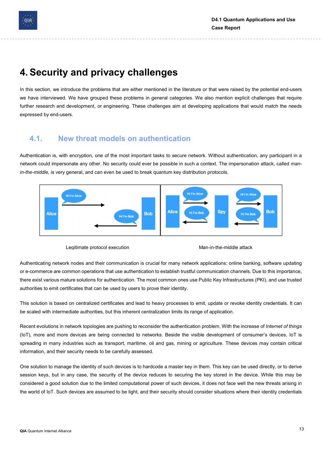

### 4. Security and privacy challenges

In this section, we introduce the problems that are either mentioned in the literature or that were raised by the potential end-users we have interviewed. We have grouped these problems in general categories. We also mention explicit challenges that require further research and development, or engineering. These challenges aim at developing applications that would match the needs expressed by end-users.

### 4.1. New threat models on authentication

Authentication is, with encryption, one of the most important tasks to secure network. Without authentication, any participant in a network could impersonate any other. No security could ever be possible in such a context. The impersonation attack, called manin-the-middle, is very general, and can even be used to break quantum key distribution protocols.





Authenticating network nodes and their communication is crucial for many network applications: online banking, software updating or e-commerce are common operations that use authentication to establish trustful communication channels. Due to this importance, there exist various mature solutions for authentication. The most common ones use Public Key Infrastructures (PKI), and use trusted authorities to emit certificates that can be used by users to prove their identity.

This solution is based on centralized certificates and lead to heavy processes to emit, update or revoke identity credentials. It can be scaled with intermediate authorities, but this inherent centralization limits its range of application.

Recent evolutions in network topologies are pushing to reconsider the authentication problem. With the increase of Internet of things (IoT), more and more devices are being connected to networks. Beside the visible development of consumer's devices, IoT is spreading in many industries such as transport, maritime, oil and gas, mining or agriculture. These devices may contain critical information, and their security needs to be carefully assessed.

One solution to manage the identity of such devices is to hardcode a master key in them. This key can be used directly, or to derive session keys, but in any case, the security of the device reduces to securing the key stored in the device. While this may be considered a good solution due to the limited computational power of such devices, it does not face well the new threats arising in the world of IoT. Such devices are assumed to be light, and their security should consider situations where their identity credentials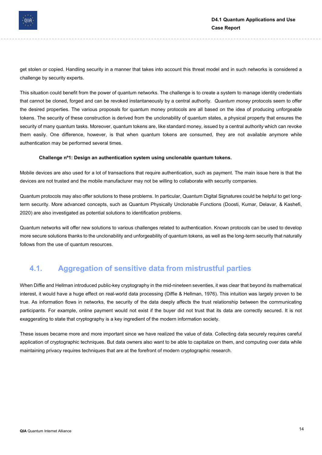

get stolen or copied. Handling security in a manner that takes into account this threat model and in such networks is considered a challenge by security experts.

This situation could benefit from the power of quantum networks. The challenge is to create a system to manage identity credentials that cannot be cloned, forged and can be revoked instantaneously by a central authority. Quantum money protocols seem to offer the desired properties. The various proposals for quantum money protocols are all based on the idea of producing unforgeable tokens. The security of these construction is derived from the unclonability of quantum states, a physical property that ensures the security of many quantum tasks. Moreover, quantum tokens are, like standard money, issued by a central authority which can revoke them easily. One difference, however, is that when quantum tokens are consumed, they are not available anymore while authentication may be performed several times.

#### Challenge nº1: Design an authentication system using unclonable quantum tokens.

Mobile devices are also used for a lot of transactions that require authentication, such as payment. The main issue here is that the devices are not trusted and the mobile manufacturer may not be willing to collaborate with security companies.

Quantum protocols may also offer solutions to these problems. In particular, Quantum Digital Signatures could be helpful to get longterm security. More advanced concepts, such as Quantum Physically Unclonable Functions (Doosti, Kumar, Delavar, & Kashefi, 2020) are also investigated as potential solutions to identification problems.

Quantum networks will offer new solutions to various challenges related to authentication. Known protocols can be used to develop more secure solutions thanks to the unclonability and unforgeability of quantum tokens, as well as the long-term security that naturally follows from the use of quantum resources.

#### 4.1. Aggregation of sensitive data from mistrustful parties

When Diffie and Hellman introduced public-key cryptography in the mid-nineteen seventies, it was clear that beyond its mathematical interest, it would have a huge effect on real-world data processing (Diffie & Hellman, 1976). This intuition was largely proven to be true. As information flows in networks, the security of the data deeply affects the trust relationship between the communicating participants. For example, online payment would not exist if the buyer did not trust that its data are correctly secured. It is not exaggerating to state that cryptography is a key ingredient of the modern information society.

These issues became more and more important since we have realized the value of data. Collecting data securely requires careful application of cryptographic techniques. But data owners also want to be able to capitalize on them, and computing over data while maintaining privacy requires techniques that are at the forefront of modern cryptographic research.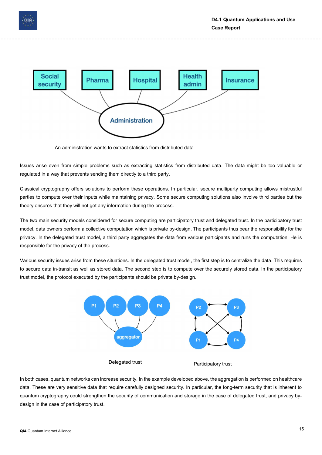



An administration wants to extract statistics from distributed data

Issues arise even from simple problems such as extracting statistics from distributed data. The data might be too valuable or regulated in a way that prevents sending them directly to a third party.

Classical cryptography offers solutions to perform these operations. In particular, secure multiparty computing allows mistrustful parties to compute over their inputs while maintaining privacy. Some secure computing solutions also involve third parties but the theory ensures that they will not get any information during the process.

The two main security models considered for secure computing are participatory trust and delegated trust. In the participatory trust model, data owners perform a collective computation which is private by-design. The participants thus bear the responsibility for the privacy. In the delegated trust model, a third party aggregates the data from various participants and runs the computation. He is responsible for the privacy of the process.

Various security issues arise from these situations. In the delegated trust model, the first step is to centralize the data. This requires to secure data in-transit as well as stored data. The second step is to compute over the securely stored data. In the participatory trust model, the protocol executed by the participants should be private by-design.



In both cases, quantum networks can increase security. In the example developed above, the aggregation is performed on healthcare data. These are very sensitive data that require carefully designed security. In particular, the long-term security that is inherent to quantum cryptography could strengthen the security of communication and storage in the case of delegated trust, and privacy bydesign in the case of participatory trust.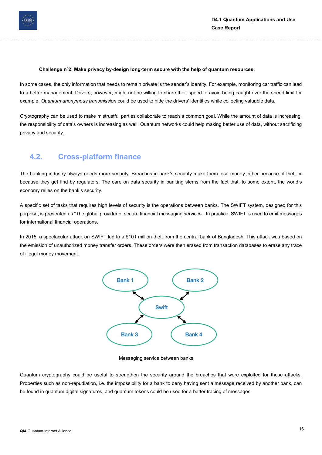

#### Challenge nº2: Make privacy by-design long-term secure with the help of quantum resources.

In some cases, the only information that needs to remain private is the sender's identity. For example, monitoring car traffic can lead to a better management. Drivers, however, might not be willing to share their speed to avoid being caught over the speed limit for example. Quantum anonymous transmission could be used to hide the drivers' identities while collecting valuable data.

Cryptography can be used to make mistrustful parties collaborate to reach a common goal. While the amount of data is increasing, the responsibility of data's owners is increasing as well. Quantum networks could help making better use of data, without sacrificing privacy and security.

#### 4.2. Cross-platform finance

The banking industry always needs more security. Breaches in bank's security make them lose money either because of theft or because they get find by regulators. The care on data security in banking stems from the fact that, to some extent, the world's economy relies on the bank's security.

A specific set of tasks that requires high levels of security is the operations between banks. The SWIFT system, designed for this purpose, is presented as "The global provider of secure financial messaging services". In practice, SWIFT is used to emit messages for international financial operations.

In 2015, a spectacular attack on SWIFT led to a \$101 million theft from the central bank of Bangladesh. This attack was based on the emission of unauthorized money transfer orders. These orders were then erased from transaction databases to erase any trace of illegal money movement.



Messaging service between banks

Quantum cryptography could be useful to strengthen the security around the breaches that were exploited for these attacks. Properties such as non-repudiation, i.e. the impossibility for a bank to deny having sent a message received by another bank, can be found in quantum digital signatures, and quantum tokens could be used for a better tracing of messages.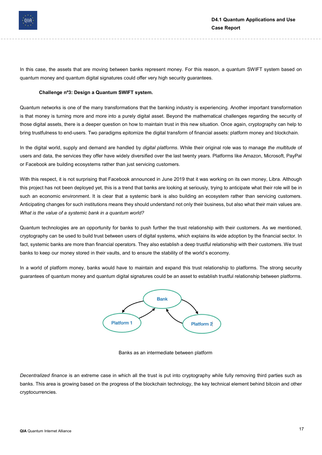

In this case, the assets that are moving between banks represent money. For this reason, a quantum SWIFT system based on quantum money and quantum digital signatures could offer very high security guarantees.

#### Challenge nº3: Design a Quantum SWIFT system.

Quantum networks is one of the many transformations that the banking industry is experiencing. Another important transformation is that money is turning more and more into a purely digital asset. Beyond the mathematical challenges regarding the security of those digital assets, there is a deeper question on how to maintain trust in this new situation. Once again, cryptography can help to bring trustfulness to end-users. Two paradigms epitomize the digital transform of financial assets: platform money and blockchain.

In the digital world, supply and demand are handled by *digital platforms*. While their original role was to manage the multitude of users and data, the services they offer have widely diversified over the last twenty years. Platforms like Amazon, Microsoft, PayPal or Facebook are building ecosystems rather than just servicing customers.

With this respect, it is not surprising that Facebook announced in June 2019 that it was working on its own money, Libra. Although this project has not been deployed yet, this is a trend that banks are looking at seriously, trying to anticipate what their role will be in such an economic environment. It is clear that a systemic bank is also building an ecosystem rather than servicing customers. Anticipating changes for such institutions means they should understand not only their business, but also what their main values are. What is the value of a systemic bank in a quantum world?

Quantum technologies are an opportunity for banks to push further the trust relationship with their customers. As we mentioned, cryptography can be used to build trust between users of digital systems, which explains its wide adoption by the financial sector. In fact, systemic banks are more than financial operators. They also establish a deep trustful relationship with their customers. We trust banks to keep our money stored in their vaults, and to ensure the stability of the world's economy.

In a world of platform money, banks would have to maintain and expand this trust relationship to platforms. The strong security guarantees of quantum money and quantum digital signatures could be an asset to establish trustful relationship between platforms.



Banks as an intermediate between platform

Decentralized finance is an extreme case in which all the trust is put into cryptography while fully removing third parties such as banks. This area is growing based on the progress of the blockchain technology, the key technical element behind bitcoin and other cryptocurrencies.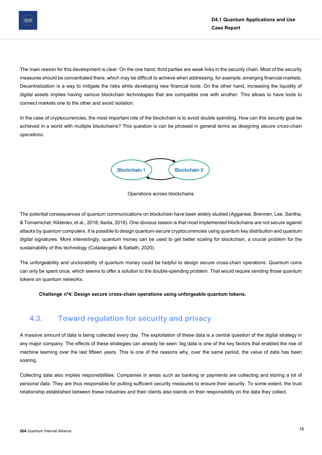

The main reason for this development is clear. On the one hand, third parties are weak links in the security chain. Most of the security measures should be concentrated there, which may be difficult to achieve when addressing, for example, emerging financial markets. Decentralization is a way to mitigate the risks while developing new financial tools. On the other hand, increasing the liquidity of digital assets implies having various blockchain technologies that are compatible one with another. This allows to have tools to connect markets one to the other and avoid isolation.

In the case of cryptocurrencies, the most important role of the blockchain is to avoid double spending. How can this security goal be achieved in a world with multiple blockchains? This question is can be phrased in general terms as designing secure cross-chain operations.





The potential consequences of quantum communications on blockchain have been widely studied (Aggarwal, Brennen, Lee, Santha, & Tomamichel; Kiktenko, et al., 2018; Ikeda, 2018). One obvious reason is that most implemented blockchains are not secure against attacks by quantum computers. It is possible to design quantum-secure cryptocurrencies using quantum key distribution and quantum digital signatures. More interestingly, quantum money can be used to get better scaling for blockchain, a crucial problem for the sustainability of this technology (Coladangelo & Sattath, 2020).

The unforgeability and unclonability of quantum money could be helpful to design secure cross-chain operations. Quantum coins can only be spent once, which seems to offer a solution to the double-spending problem. That would require sending those quantum tokens on quantum networks.

Challenge nº4: Design secure cross-chain operations using unforgeable quantum tokens.

### 4.3. Toward regulation for security and privacy

A massive amount of data is being collected every day. The exploitation of these data is a central question of the digital strategy in any major company. The effects of these strategies can already be seen: big data is one of the key factors that enabled the rise of machine learning over the last fifteen years. This is one of the reasons why, over the same period, the value of data has been soaring.

Collecting data also implies responsibilities. Companies in areas such as banking or payments are collecting and storing a lot of personal data. They are thus responsible for putting sufficient security measures to ensure their security. To some extent, the trust relationship established between these industries and their clients also stands on their responsibility on the data they collect.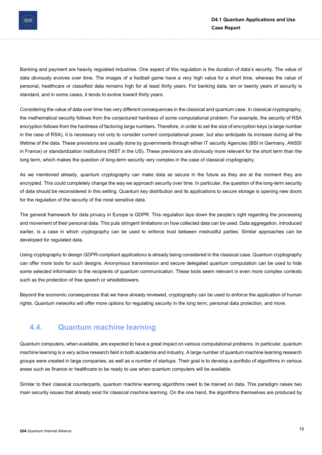

Banking and payment are heavily regulated industries. One aspect of this regulation is the duration of data's security. The value of data obviously evolves over time. The images of a football game have a very high value for a short time, whereas the value of personal, healthcare or classified data remains high for at least thirty years. For banking data, ten or twenty years of security is standard, and in some cases, it tends to evolve toward thirty years.

Considering the value of data over time has very different consequences in the classical and quantum case. In classical cryptography, the mathematical security follows from the conjectured hardness of some computational problem. For example, the security of RSA encryption follows from the hardness of factoring large numbers. Therefore, in order to set the size of encryption keys (a large number in the case of RSA), it is necessary not only to consider current computational power, but also anticipate its increase during all the lifetime of the data. These previsions are usually done by governments through either IT security Agencies (BSI in Germany, ANSSI in France) or standardization institutions (NIST in the US). These previsions are obviously more relevant for the short term than the long term, which makes the question of long-term security very complex in the case of classical cryptography.

As we mentioned already, quantum cryptography can make data as secure in the future as they are at the moment they are encrypted. This could completely change the way we approach security over time. In particular, the question of the long-term security of data should be reconsidered in this setting. Quantum key distribution and its applications to secure storage is opening new doors for the regulation of the security of the most sensitive data.

The general framework for data privacy in Europe is GDPR. This regulation lays down the people's right regarding the processing and movement of their personal data. This puts stringent limitations on how collected data can be used. Data aggregation, introduced earlier, is a case in which cryptography can be used to enforce trust between mistrustful parties. Similar approaches can be developed for regulated data.

Using cryptography to design GDPR-compliant applications is already being considered in the classical case. Quantum cryptography can offer more tools for such designs. Anonymous transmission and secure delegated quantum computation can be used to hide some selected information to the recipients of quantum communication. These tools seem relevant in even more complex contexts such as the protection of free speech or whistleblowers.

Beyond the economic consequences that we have already reviewed, cryptography can be used to enforce the application of human rights. Quantum networks will offer more options for regulating security in the long term, personal data protection, and more.

#### 4.4. Quantum machine learning

Quantum computers, when available, are expected to have a great impact on various computational problems. In particular, quantum machine learning is a very active research field in both academia and industry. A large number of quantum machine learning research groups were created in large companies, as well as a number of startups. Their goal is to develop a portfolio of algorithms in various areas such as finance or healthcare to be ready to use when quantum computers will be available.

Similar to their classical counterparts, quantum machine learning algorithms need to be trained on data. This paradigm raises two main security issues that already exist for classical machine learning. On the one hand, the algorithms themselves are produced by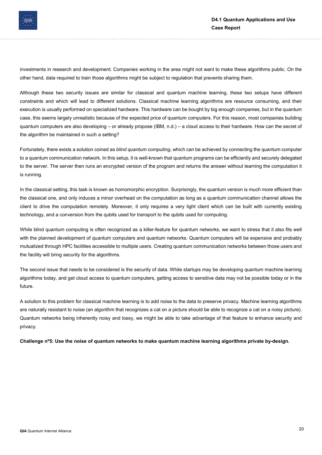

investments in research and development. Companies working in the area might not want to make these algorithms public. On the other hand, data required to train those algorithms might be subject to regulation that prevents sharing them.

Although these two security issues are similar for classical and quantum machine learning, these two setups have different constraints and which will lead to different solutions. Classical machine learning algorithms are resource consuming, and their execution is usually performed on specialized hardware. This hardware can be bought by big enough companies, but in the quantum case, this seems largely unrealistic because of the expected price of quantum computers. For this reason, most companies building quantum computers are also developing – or already propose (IBM, n.d.) – a cloud access to their hardware. How can the secret of the algorithm be maintained in such a setting?

Fortunately, there exists a solution coined as *blind quantum computing*, which can be achieved by connecting the quantum computer to a quantum communication network. In this setup, it is well-known that quantum programs can be efficiently and securely delegated to the server. The server then runs an encrypted version of the program and returns the answer without learning the computation it is running.

In the classical setting, this task is known as homomorphic encryption. Surprisingly, the quantum version is much more efficient than the classical one, and only induces a minor overhead on the computation as long as a quantum communication channel allows the client to drive the computation remotely. Moreover, it only requires a very light client which can be built with currently existing technology, and a conversion from the qubits used for transport to the qubits used for computing.

While blind quantum computing is often recognized as a killer-feature for quantum networks, we want to stress that it also fits well with the planned development of quantum computers and quantum networks. Quantum computers will be expensive and probably mutualized through HPC facilities accessible to multiple users. Creating quantum communication networks between those users and the facility will bring security for the algorithms.

The second issue that needs to be considered is the security of data. While startups may be developing quantum machine learning algorithms today, and get cloud access to quantum computers, getting access to sensitive data may not be possible today or in the future.

A solution to this problem for classical machine learning is to add noise to the data to preserve privacy. Machine learning algorithms are naturally resistant to noise (an algorithm that recognizes a cat on a picture should be able to recognize a cat on a noisy picture). Quantum networks being inherently noisy and lossy, we might be able to take advantage of that feature to enhance security and privacy.

Challenge nº5: Use the noise of quantum networks to make quantum machine learning algorithms private by-design.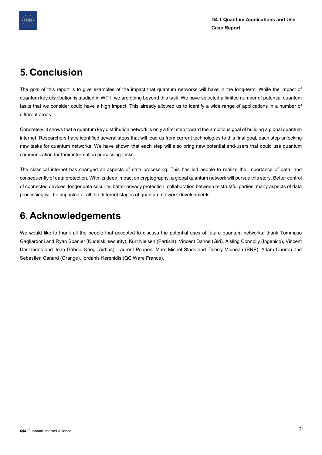

### 5. Conclusion

The goal of this report is to give examples of the impact that quantum networks will have in the long-term. While the impact of quantum key distribution is studied in WP1, we are going beyond this task. We have selected a limited number of potential quantum tasks that we consider could have a high impact. This already allowed us to identify a wide range of applications in a number of different areas.

Concretely, it shows that a quantum key distribution network is only a first step toward the ambitious goal of building a global quantum internet. Researchers have identified several steps that will lead us from current technologies to this final goal, each step unlocking new tasks for quantum networks. We have shown that each step will also bring new potential end-users that could use quantum communication for their information processing tasks.

The classical internet has changed all aspects of data processing. This has led people to realize the importance of data, and consequently of data protection. With its deep impact on cryptography, a global quantum network will pursue this story. Better control of connected devices, longer data security, better privacy protection, collaboration between mistrustful parties, many aspects of data processing will be impacted at all the different stages of quantum network developments.

### 6. Acknowledgements

We would like to thank all the people that accepted to discuss the potential uses of future quantum networks: thank Tommaso Gagliardoni and Ryan Spanier (Kudelski security), Kurt Nielsen (Partisia), Vincent Danos (Giri), Aisling Connolly (Ingenico), Vincent Deslandes and Jean-Gabriel Krieg (Airbus), Laurent Poupon, Marc-Michel Stack and Thierry Moineau (BNP), Adam Ouorou and Sebastien Canard (Orange), Iordanis Kerenidis (QC Ware France).